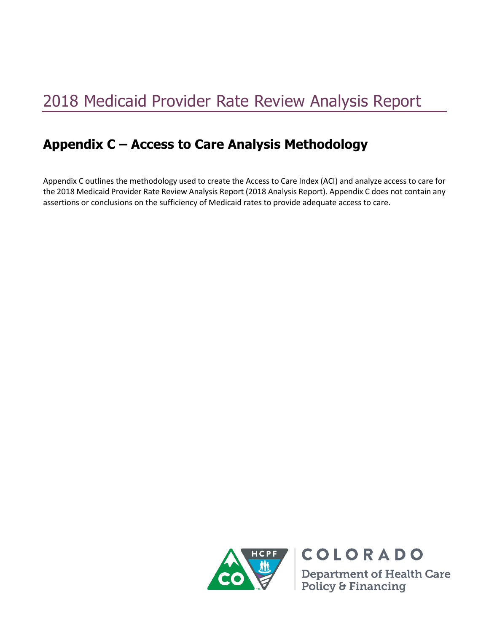# 2018 Medicaid Provider Rate Review Analysis Report

# **Appendix C – Access to Care Analysis Methodology**

Appendix C outlines the methodology used to create the Access to Care Index (ACI) and analyze access to care for the 2018 Medicaid Provider Rate Review Analysis Report (2018 Analysis Report). Appendix C does not contain any assertions or conclusions on the sufficiency of Medicaid rates to provide adequate access to care.



**COLORADO Department of Health Care<br>Policy & Financing**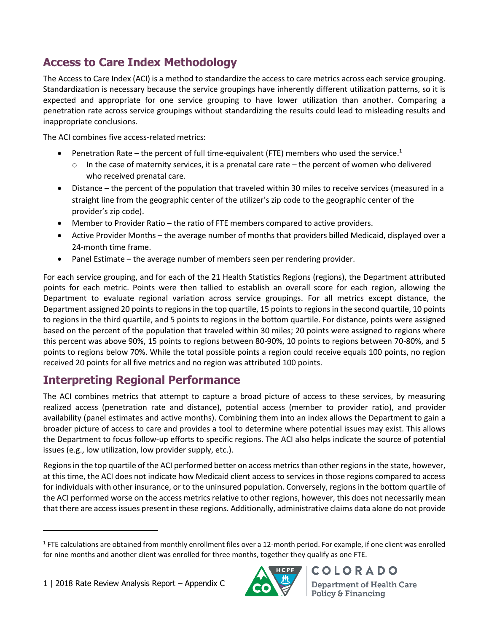## **Access to Care Index Methodology**

The Access to Care Index (ACI) is a method to standardize the access to care metrics across each service grouping. Standardization is necessary because the service groupings have inherently different utilization patterns, so it is expected and appropriate for one service grouping to have lower utilization than another. Comparing a penetration rate across service groupings without standardizing the results could lead to misleading results and inappropriate conclusions.

The ACI combines five access-related metrics:

- Penetration Rate the percent of full time-equivalent (FTE) members who used the service.<sup>1</sup>
	- o In the case of maternity services, it is a prenatal care rate the percent of women who delivered who received prenatal care.
- Distance the percent of the population that traveled within 30 miles to receive services (measured in a straight line from the geographic center of the utilizer's zip code to the geographic center of the provider's zip code).
- Member to Provider Ratio the ratio of FTE members compared to active providers.
- Active Provider Months the average number of months that providers billed Medicaid, displayed over a 24-month time frame.
- Panel Estimate the average number of members seen per rendering provider.

For each service grouping, and for each of the 21 Health Statistics Regions (regions), the Department attributed points for each metric. Points were then tallied to establish an overall score for each region, allowing the Department to evaluate regional variation across service groupings. For all metrics except distance, the Department assigned 20 points to regions in the top quartile, 15 points to regions in the second quartile, 10 points to regions in the third quartile, and 5 points to regions in the bottom quartile. For distance, points were assigned based on the percent of the population that traveled within 30 miles; 20 points were assigned to regions where this percent was above 90%, 15 points to regions between 80-90%, 10 points to regions between 70-80%, and 5 points to regions below 70%. While the total possible points a region could receive equals 100 points, no region received 20 points for all five metrics and no region was attributed 100 points.

#### **Interpreting Regional Performance**

The ACI combines metrics that attempt to capture a broad picture of access to these services, by measuring realized access (penetration rate and distance), potential access (member to provider ratio), and provider availability (panel estimates and active months). Combining them into an index allows the Department to gain a broader picture of access to care and provides a tool to determine where potential issues may exist. This allows the Department to focus follow-up efforts to specific regions. The ACI also helps indicate the source of potential issues (e.g., low utilization, low provider supply, etc.).

Regions in the top quartile of the ACI performed better on access metrics than other regions in the state, however, at this time, the ACI does not indicate how Medicaid client access to services in those regions compared to access for individuals with other insurance, or to the uninsured population. Conversely, regions in the bottom quartile of the ACI performed worse on the access metrics relative to other regions, however, this does not necessarily mean that there are access issues present in these regions. Additionally, administrative claims data alone do not provide

 $\overline{\phantom{a}}$ 



**Department of Health Care** Policy & Financing

**COLORADO** 

 $1$  FTE calculations are obtained from monthly enrollment files over a 12-month period. For example, if one client was enrolled for nine months and another client was enrolled for three months, together they qualify as one FTE.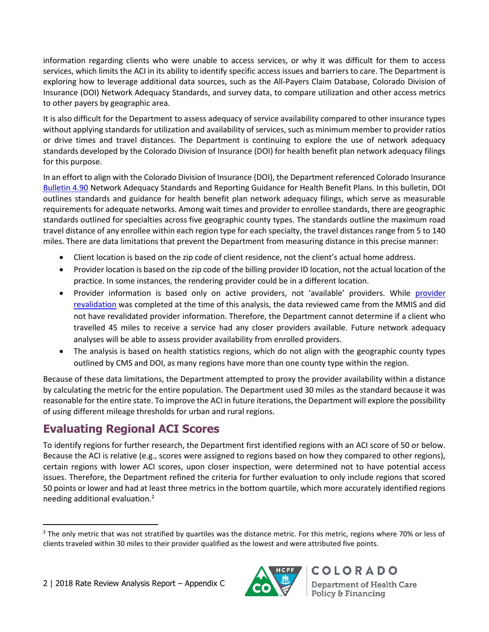information regarding clients who were unable to access services, or why it was difficult for them to access services, which limits the ACI in its ability to identify specific access issues and barriers to care. The Department is exploring how to leverage additional data sources, such as the All-Payers Claim Database, Colorado Division of Insurance (DOI) Network Adequacy Standards, and survey data, to compare utilization and other access metrics to other payers by geographic area.

It is also difficult for the Department to assess adequacy of service availability compared to other insurance types without applying standards for utilization and availability of services, such as minimum member to provider ratios or drive times and travel distances. The Department is continuing to explore the use of network adequacy standards developed by the Colorado Division of Insurance (DOI) for health benefit plan network adequacy filings for this purpose.

In an effort to align with the Colorado Division of Insurance (DOI), the Department referenced Colorado Insurance [Bulletin 4.90](https://www.colorado.gov/pacific/dora/node/94966) Network Adequacy Standards and Reporting Guidance for Health Benefit Plans. In this bulletin, DOI outlines standards and guidance for health benefit plan network adequacy filings, which serve as measurable requirements for adequate networks. Among wait times and provider to enrollee standards, there are geographic standards outlined for specialties across five geographic county types. The standards outline the maximum road travel distance of any enrollee within each region type for each specialty, the travel distances range from 5 to 140 miles. There are data limitations that prevent the Department from measuring distance in this precise manner:

- Client location is based on the zip code of client residence, not the client's actual home address.
- Provider location is based on the zip code of the billing provider ID location, not the actual location of the practice. In some instances, the rendering provider could be in a different location.
- Provider information is based only on active providers, not 'available' providers. While [provider](https://www.colorado.gov/pacific/hcpf/provider-enrollment)  [revalidation](https://www.colorado.gov/pacific/hcpf/provider-enrollment) was completed at the time of this analysis, the data reviewed came from the MMIS and did not have revalidated provider information. Therefore, the Department cannot determine if a client who travelled 45 miles to receive a service had any closer providers available. Future network adequacy analyses will be able to assess provider availability from enrolled providers.
- The analysis is based on health statistics regions, which do not align with the geographic county types outlined by CMS and DOI, as many regions have more than one county type within the region.

Because of these data limitations, the Department attempted to proxy the provider availability within a distance by calculating the metric for the entire population. The Department used 30 miles as the standard because it was reasonable for the entire state. To improve the ACI in future iterations, the Department will explore the possibility of using different mileage thresholds for urban and rural regions.

### **Evaluating Regional ACI Scores**

To identify regions for further research, the Department first identified regions with an ACI score of 50 or below. Because the ACI is relative (e.g., scores were assigned to regions based on how they compared to other regions), certain regions with lower ACI scores, upon closer inspection, were determined not to have potential access issues. Therefore, the Department refined the criteria for further evaluation to only include regions that scored 50 points or lower and had at least three metrics in the bottom quartile, which more accurately identified regions needing additional evaluation.<sup>2</sup>



**COLORADO Department of Health Care** Policy & Financing

 $\overline{\phantom{a}}$ <sup>2</sup> The only metric that was not stratified by quartiles was the distance metric. For this metric, regions where 70% or less of clients traveled within 30 miles to their provider qualified as the lowest and were attributed five points.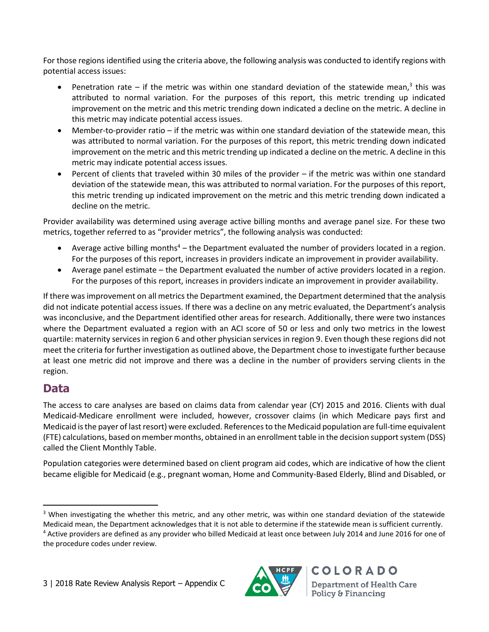For those regions identified using the criteria above, the following analysis was conducted to identify regions with potential access issues:

- Penetration rate if the metric was within one standard deviation of the statewide mean,<sup>3</sup> this was attributed to normal variation. For the purposes of this report, this metric trending up indicated improvement on the metric and this metric trending down indicated a decline on the metric. A decline in this metric may indicate potential access issues.
- Member-to-provider ratio if the metric was within one standard deviation of the statewide mean, this was attributed to normal variation. For the purposes of this report, this metric trending down indicated improvement on the metric and this metric trending up indicated a decline on the metric. A decline in this metric may indicate potential access issues.
- Percent of clients that traveled within 30 miles of the provider if the metric was within one standard deviation of the statewide mean, this was attributed to normal variation. For the purposes of this report, this metric trending up indicated improvement on the metric and this metric trending down indicated a decline on the metric.

Provider availability was determined using average active billing months and average panel size. For these two metrics, together referred to as "provider metrics", the following analysis was conducted:

- Average active billing months<sup>4</sup> the Department evaluated the number of providers located in a region. For the purposes of this report, increases in providers indicate an improvement in provider availability.
- Average panel estimate the Department evaluated the number of active providers located in a region. For the purposes of this report, increases in providers indicate an improvement in provider availability.

If there was improvement on all metrics the Department examined, the Department determined that the analysis did not indicate potential access issues. If there was a decline on any metric evaluated, the Department's analysis was inconclusive, and the Department identified other areas for research. Additionally, there were two instances where the Department evaluated a region with an ACI score of 50 or less and only two metrics in the lowest quartile: maternity services in region 6 and other physician services in region 9. Even though these regions did not meet the criteria for further investigation as outlined above, the Department chose to investigate further because at least one metric did not improve and there was a decline in the number of providers serving clients in the region.

#### **Data**

 $\overline{\phantom{a}}$ 

The access to care analyses are based on claims data from calendar year (CY) 2015 and 2016. Clients with dual Medicaid-Medicare enrollment were included, however, crossover claims (in which Medicare pays first and Medicaid is the payer of last resort) were excluded. References to the Medicaid population are full-time equivalent (FTE) calculations, based on member months, obtained in an enrollment table in the decision support system (DSS) called the Client Monthly Table.

Population categories were determined based on client program aid codes, which are indicative of how the client became eligible for Medicaid (e.g., pregnant woman, Home and Community-Based Elderly, Blind and Disabled, or

the procedure codes under review.



**COLORADO Department of Health Care** Policy & Financing

 $3$  When investigating the whether this metric, and any other metric, was within one standard deviation of the statewide Medicaid mean, the Department acknowledges that it is not able to determine if the statewide mean is sufficient currently. <sup>4</sup> Active providers are defined as any provider who billed Medicaid at least once between July 2014 and June 2016 for one of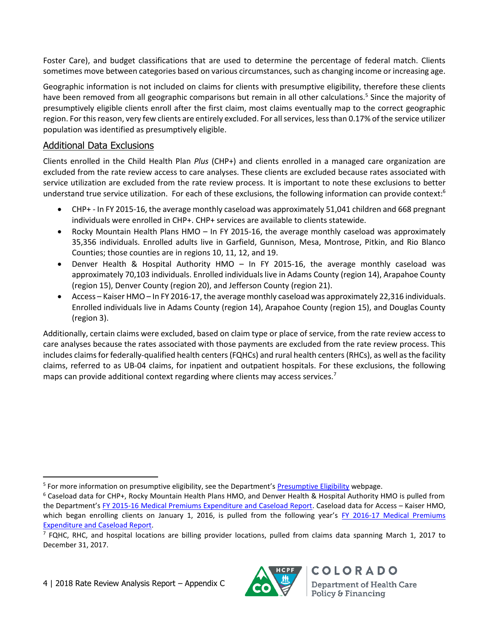Foster Care), and budget classifications that are used to determine the percentage of federal match. Clients sometimes move between categories based on various circumstances, such as changing income or increasing age.

Geographic information is not included on claims for clients with presumptive eligibility, therefore these clients have been removed from all geographic comparisons but remain in all other calculations.<sup>5</sup> Since the majority of presumptively eligible clients enroll after the first claim, most claims eventually map to the correct geographic region. For this reason, very few clients are entirely excluded. For all services, less than 0.17% of the service utilizer population was identified as presumptively eligible.

#### Additional Data Exclusions

Clients enrolled in the Child Health Plan *Plus* (CHP+) and clients enrolled in a managed care organization are excluded from the rate review access to care analyses. These clients are excluded because rates associated with service utilization are excluded from the rate review process. It is important to note these exclusions to better understand true service utilization. For each of these exclusions, the following information can provide context:<sup>6</sup>

- CHP+ In FY 2015-16, the average monthly caseload was approximately 51,041 children and 668 pregnant individuals were enrolled in CHP+. CHP+ services are available to clients statewide.
- Rocky Mountain Health Plans HMO In FY 2015-16, the average monthly caseload was approximately 35,356 individuals. Enrolled adults live in Garfield, Gunnison, Mesa, Montrose, Pitkin, and Rio Blanco Counties; those counties are in regions 10, 11, 12, and 19.
- Denver Health & Hospital Authority HMO In FY 2015-16, the average monthly caseload was approximately 70,103 individuals. Enrolled individuals live in Adams County (region 14), Arapahoe County (region 15), Denver County (region 20), and Jefferson County (region 21).
- Access Kaiser HMO In FY 2016-17, the average monthly caseload was approximately 22,316 individuals. Enrolled individuals live in Adams County (region 14), Arapahoe County (region 15), and Douglas County (region 3).

Additionally, certain claims were excluded, based on claim type or place of service, from the rate review access to care analyses because the rates associated with those payments are excluded from the rate review process. This includes claims for federally-qualified health centers(FQHCs) and rural health centers(RHCs), as well as the facility claims, referred to as UB-04 claims, for inpatient and outpatient hospitals. For these exclusions, the following maps can provide additional context regarding where clients may access services.<sup>7</sup>

 $\overline{\phantom{a}}$ 



**Department of Health Care** Policy & Financing

**COLORADO** 

<sup>&</sup>lt;sup>5</sup> For more information on presumptive eligibility, see the Department's **[Presumptive Eligibility](https://www.colorado.gov/pacific/hcpf/presumptive-eligibility)** webpage.

 $6$  Caseload data for CHP+, Rocky Mountain Health Plans HMO, and Denver Health & Hospital Authority HMO is pulled from the Department's [FY 2015-16 Medical Premiums Expenditure and Caseload Report.](https://www.colorado.gov/pacific/sites/default/files/2016%20June%20Joint%20Budget%20Committee%20Monthly%20Premiums%20Report%20.pdf) Caseload data for Access – Kaiser HMO, which began enrolling clients on January 1, 2016, is pulled from the following year's FY 2016-17 Medical Premiums [Expenditure and Caseload Report.](https://www.colorado.gov/pacific/sites/default/files/Joint%20Budget%20Committee%20Monthly%20Premiums%20Report%20June%202017.pdf)

 $^7$  FQHC, RHC, and hospital locations are billing provider locations, pulled from claims data spanning March 1, 2017 to December 31, 2017.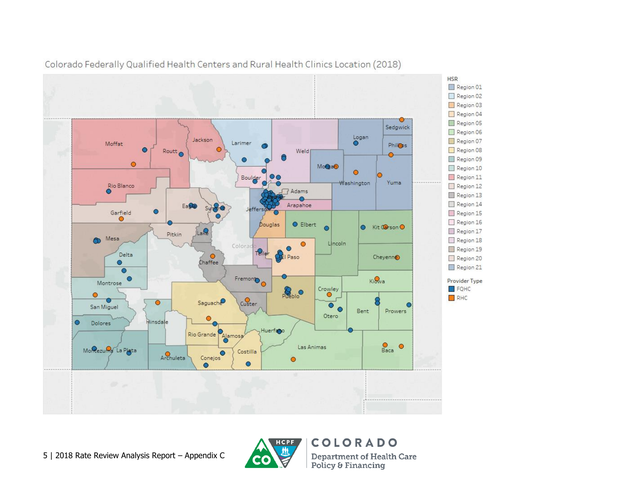

Colorado Federally Qualified Health Centers and Rural Health Clinics Location (2018)



COLORADO **Department of Health Care** Policy & Financing